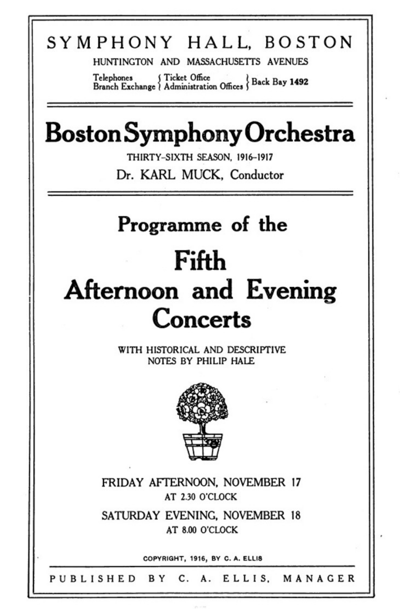#### SYMPHONY HALL BOSTON

HUNTINGTON AND MASSACHUSETTS AVENUES

Telephones f Ticket Office<br>Branch Exchange | Administration Offices | Back Bay 1492

### **Boston Symphony Orchestra**

THIRTY-SIXTH SEASON, 1916-1917 Dr. KARL, MUCK, Conductor

#### Programme of the

### Fifth

# **Afternoon and Evening** Concerts

WITH HISTORICAL AND DESCRIPTIVE NOTES BY PHILIP HALF.



FRIDAY AFTERNOON, NOVEMBER 17 AT 2.30 O'CLOCK

SATURDAY EVENING, NOVEMBER 18 AT 8.00 O'CLOCK

COPYRIGHT, 1916, BY C. A. ELLIS

C.A. ELLIS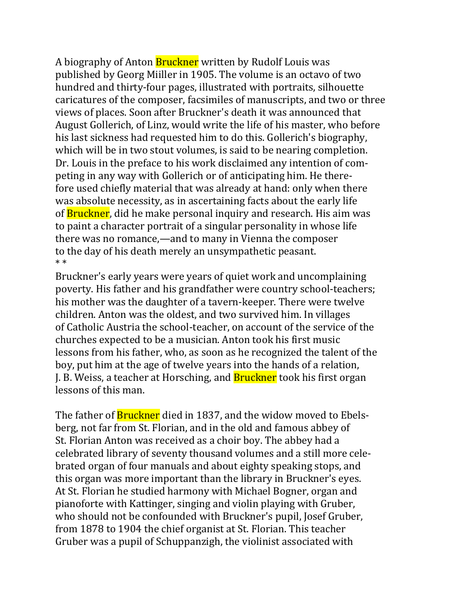A biography of Anton **Bruckner** written by Rudolf Louis was published by Georg Miiller in 1905. The volume is an octavo of two hundred and thirty-four pages, illustrated with portraits, silhouette caricatures of the composer, facsimiles of manuscripts, and two or three views of places. Soon after Bruckner's death it was announced that August Gollerich, of Linz, would write the life of his master, who before his last sickness had requested him to do this. Gollerich's biography, which will be in two stout volumes, is said to be nearing completion. Dr. Louis in the preface to his work disclaimed any intention of competing in any way with Gollerich or of anticipating him. He therefore used chiefly material that was already at hand: only when there was absolute necessity, as in ascertaining facts about the early life of **Bruckner**, did he make personal inquiry and research. His aim was to paint a character portrait of a singular personality in whose life there was no romance,—and to many in Vienna the composer to the day of his death merely an unsympathetic peasant. \* \*

Bruckner's early years were years of quiet work and uncomplaining poverty. His father and his grandfather were country school-teachers; his mother was the daughter of a tavern-keeper. There were twelve children. Anton was the oldest, and two survived him. In villages of Catholic Austria the school-teacher, on account of the service of the churches expected to be a musician. Anton took his first music lessons from his father, who, as soon as he recognized the talent of the boy, put him at the age of twelve years into the hands of a relation, J. B. Weiss, a teacher at Horsching, and **Bruckner** took his first organ lessons of this man.

The father of **Bruckner** died in 1837, and the widow moved to Ebelsberg, not far from St. Florian, and in the old and famous abbey of St. Florian Anton was received as a choir boy. The abbey had a celebrated library of seventy thousand volumes and a still more celebrated organ of four manuals and about eighty speaking stops, and this organ was more important than the library in Bruckner's eyes. At St. Florian he studied harmony with Michael Bogner, organ and pianoforte with Kattinger, singing and violin playing with Gruber, who should not be confounded with Bruckner's pupil, Josef Gruber, from 1878 to 1904 the chief organist at St. Florian. This teacher Gruber was a pupil of Schuppanzigh, the violinist associated with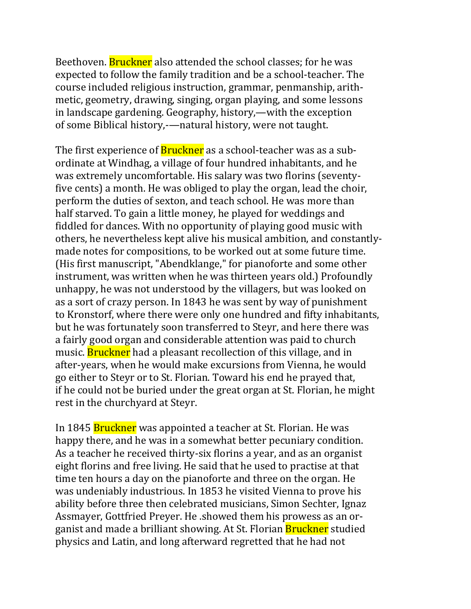Beethoven. **Bruckner** also attended the school classes; for he was expected to follow the family tradition and be a school-teacher. The course included religious instruction, grammar, penmanship, arithmetic, geometry, drawing, singing, organ playing, and some lessons in landscape gardening. Geography, history,—with the exception of some Biblical history,-—natural history, were not taught.

The first experience of **Bruckner** as a school-teacher was as a subordinate at Windhag, a village of four hundred inhabitants, and he was extremely uncomfortable. His salary was two florins (seventyfive cents) a month. He was obliged to play the organ, lead the choir, perform the duties of sexton, and teach school. He was more than half starved. To gain a little money, he played for weddings and fiddled for dances. With no opportunity of playing good music with others, he nevertheless kept alive his musical ambition, and constantlymade notes for compositions, to be worked out at some future time. (His first manuscript, "Abendklange," for pianoforte and some other instrument, was written when he was thirteen years old.) Profoundly unhappy, he was not understood by the villagers, but was looked on as a sort of crazy person. In 1843 he was sent by way of punishment to Kronstorf, where there were only one hundred and fifty inhabitants, but he was fortunately soon transferred to Steyr, and here there was a fairly good organ and considerable attention was paid to church music. **Bruckner** had a pleasant recollection of this village, and in after-years, when he would make excursions from Vienna, he would go either to Steyr or to St. Florian. Toward his end he prayed that, if he could not be buried under the great organ at St. Florian, he might rest in the churchyard at Steyr.

In 1845 **Bruckner** was appointed a teacher at St. Florian. He was happy there, and he was in a somewhat better pecuniary condition. As a teacher he received thirty-six florins a year, and as an organist eight florins and free living. He said that he used to practise at that time ten hours a day on the pianoforte and three on the organ. He was undeniably industrious. In 1853 he visited Vienna to prove his ability before three then celebrated musicians, Simon Sechter, Ignaz Assmayer, Gottfried Preyer. He .showed them his prowess as an organist and made a brilliant showing. At St. Florian Bruckner studied physics and Latin, and long afterward regretted that he had not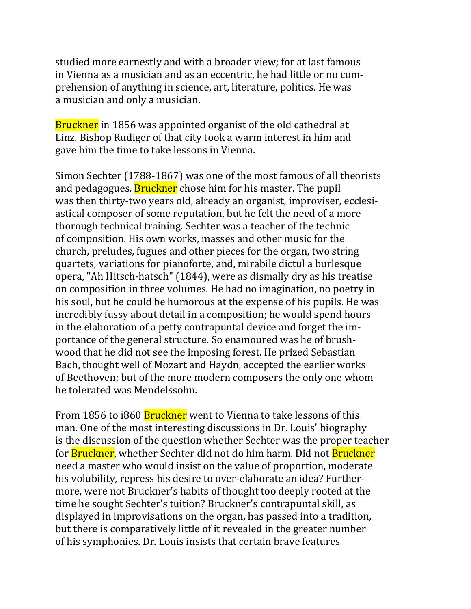studied more earnestly and with a broader view; for at last famous in Vienna as a musician and as an eccentric, he had little or no comprehension of anything in science, art, literature, politics. He was a musician and only a musician.

Bruckner in 1856 was appointed organist of the old cathedral at Linz. Bishop Rudiger of that city took a warm interest in him and gave him the time to take lessons in Vienna.

Simon Sechter (1788-1867) was one of the most famous of all theorists and pedagogues. **Bruckner** chose him for his master. The pupil was then thirty-two years old, already an organist, improviser, ecclesiastical composer of some reputation, but he felt the need of a more thorough technical training. Sechter was a teacher of the technic of composition. His own works, masses and other music for the church, preludes, fugues and other pieces for the organ, two string quartets, variations for pianoforte, and, mirabile dictul a burlesque opera, "Ah Hitsch-hatsch" (1844), were as dismally dry as his treatise on composition in three volumes. He had no imagination, no poetry in his soul, but he could be humorous at the expense of his pupils. He was incredibly fussy about detail in a composition; he would spend hours in the elaboration of a petty contrapuntal device and forget the importance of the general structure. So enamoured was he of brushwood that he did not see the imposing forest. He prized Sebastian Bach, thought well of Mozart and Haydn, accepted the earlier works of Beethoven; but of the more modern composers the only one whom he tolerated was Mendelssohn.

From 1856 to i860 Bruckner went to Vienna to take lessons of this man. One of the most interesting discussions in Dr. Louis' biography is the discussion of the question whether Sechter was the proper teacher for Bruckner, whether Sechter did not do him harm. Did not Bruckner need a master who would insist on the value of proportion, moderate his volubility, repress his desire to over-elaborate an idea? Furthermore, were not Bruckner's habits of thought too deeply rooted at the time he sought Sechter's tuition? Bruckner's contrapuntal skill, as displayed in improvisations on the organ, has passed into a tradition, but there is comparatively little of it revealed in the greater number of his symphonies. Dr. Louis insists that certain brave features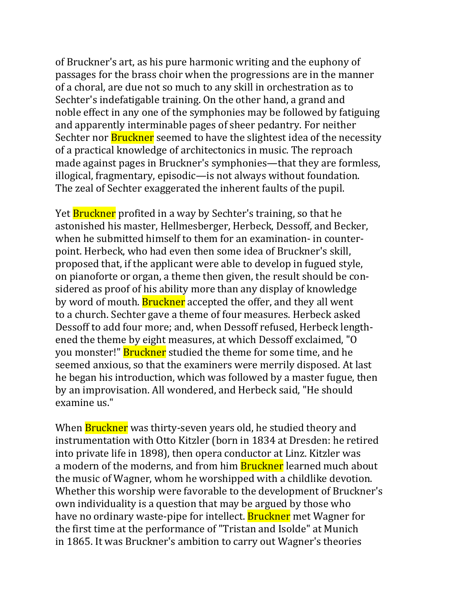of Bruckner's art, as his pure harmonic writing and the euphony of passages for the brass choir when the progressions are in the manner of a choral, are due not so much to any skill in orchestration as to Sechter's indefatigable training. On the other hand, a grand and noble effect in any one of the symphonies may be followed by fatiguing and apparently interminable pages of sheer pedantry. For neither Sechter nor **Bruckner** seemed to have the slightest idea of the necessity of a practical knowledge of architectonics in music. The reproach made against pages in Bruckner's symphonies—that they are formless, illogical, fragmentary, episodic—is not always without foundation. The zeal of Sechter exaggerated the inherent faults of the pupil.

Yet **Bruckner** profited in a way by Sechter's training, so that he astonished his master, Hellmesberger, Herbeck, Dessoff, and Becker, when he submitted himself to them for an examination- in counterpoint. Herbeck, who had even then some idea of Bruckner's skill, proposed that, if the applicant were able to develop in fugued style, on pianoforte or organ, a theme then given, the result should be considered as proof of his ability more than any display of knowledge by word of mouth. **Bruckner** accepted the offer, and they all went to a church. Sechter gave a theme of four measures. Herbeck asked Dessoff to add four more; and, when Dessoff refused, Herbeck lengthened the theme by eight measures, at which Dessoff exclaimed, "O you monster!" **Bruckner** studied the theme for some time, and he seemed anxious, so that the examiners were merrily disposed. At last he began his introduction, which was followed by a master fugue, then by an improvisation. All wondered, and Herbeck said, "He should examine us."

When **Bruckner** was thirty-seven years old, he studied theory and instrumentation with Otto Kitzler (born in 1834 at Dresden: he retired into private life in 1898), then opera conductor at Linz. Kitzler was a modern of the moderns, and from him **Bruckner** learned much about the music of Wagner, whom he worshipped with a childlike devotion. Whether this worship were favorable to the development of Bruckner's own individuality is a question that may be argued by those who have no ordinary waste-pipe for intellect. Bruckner met Wagner for the first time at the performance of "Tristan and Isolde" at Munich in 1865. It was Bruckner's ambition to carry out Wagner's theories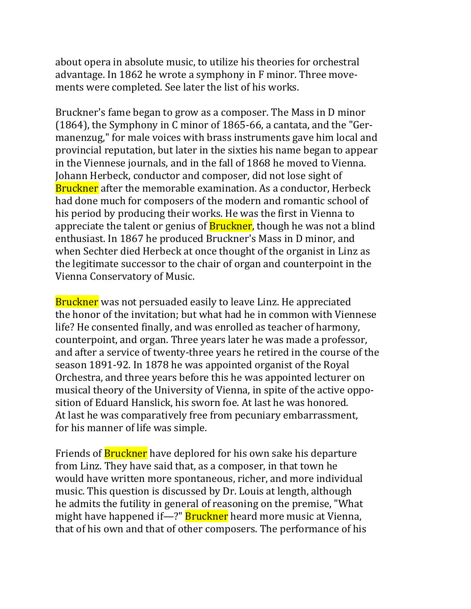about opera in absolute music, to utilize his theories for orchestral advantage. In 1862 he wrote a symphony in F minor. Three movements were completed. See later the list of his works.

Bruckner's fame began to grow as a composer. The Mass in D minor (1864), the Symphony in C minor of 1865-66, a cantata, and the "Germanenzug," for male voices with brass instruments gave him local and provincial reputation, but later in the sixties his name began to appear in the Viennese journals, and in the fall of 1868 he moved to Vienna. Johann Herbeck, conductor and composer, did not lose sight of Bruckner after the memorable examination. As a conductor, Herbeck had done much for composers of the modern and romantic school of his period by producing their works. He was the first in Vienna to appreciate the talent or genius of **Bruckner**, though he was not a blind enthusiast. In 1867 he produced Bruckner's Mass in D minor, and when Sechter died Herbeck at once thought of the organist in Linz as the legitimate successor to the chair of organ and counterpoint in the Vienna Conservatory of Music.

Bruckner was not persuaded easily to leave Linz. He appreciated the honor of the invitation; but what had he in common with Viennese life? He consented finally, and was enrolled as teacher of harmony, counterpoint, and organ. Three years later he was made a professor, and after a service of twenty-three years he retired in the course of the season 1891-92. In 1878 he was appointed organist of the Royal Orchestra, and three years before this he was appointed lecturer on musical theory of the University of Vienna, in spite of the active opposition of Eduard Hanslick, his sworn foe. At last he was honored. At last he was comparatively free from pecuniary embarrassment, for his manner of life was simple.

Friends of **Bruckner** have deplored for his own sake his departure from Linz. They have said that, as a composer, in that town he would have written more spontaneous, richer, and more individual music. This question is discussed by Dr. Louis at length, although he admits the futility in general of reasoning on the premise, "What might have happened if—?" Bruckner heard more music at Vienna, that of his own and that of other composers. The performance of his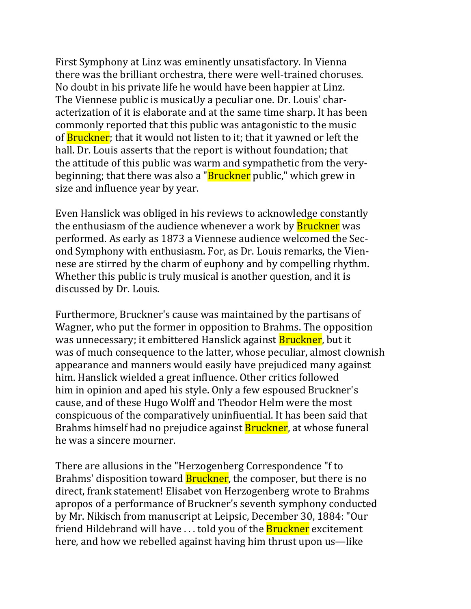First Symphony at Linz was eminently unsatisfactory. In Vienna there was the brilliant orchestra, there were well-trained choruses. No doubt in his private life he would have been happier at Linz. The Viennese public is musicaUy a peculiar one. Dr. Louis' characterization of it is elaborate and at the same time sharp. It has been commonly reported that this public was antagonistic to the music of **Bruckner**; that it would not listen to it; that it yawned or left the hall. Dr. Louis asserts that the report is without foundation; that the attitude of this public was warm and sympathetic from the verybeginning; that there was also a "**Bruckner** public," which grew in size and influence year by year.

Even Hanslick was obliged in his reviews to acknowledge constantly the enthusiasm of the audience whenever a work by **Bruckner** was performed. As early as 1873 a Viennese audience welcomed the Second Symphony with enthusiasm. For, as Dr. Louis remarks, the Viennese are stirred by the charm of euphony and by compelling rhythm. Whether this public is truly musical is another question, and it is discussed by Dr. Louis.

Furthermore, Bruckner's cause was maintained by the partisans of Wagner, who put the former in opposition to Brahms. The opposition was unnecessary; it embittered Hanslick against Bruckner, but it was of much consequence to the latter, whose peculiar, almost clownish appearance and manners would easily have prejudiced many against him. Hanslick wielded a great influence. Other critics followed him in opinion and aped his style. Only a few espoused Bruckner's cause, and of these Hugo Wolff and Theodor Helm were the most conspicuous of the comparatively uninfiuential. It has been said that Brahms himself had no prejudice against Bruckner, at whose funeral he was a sincere mourner.

There are allusions in the "Herzogenberg Correspondence "f to Brahms' disposition toward **Bruckner**, the composer, but there is no direct, frank statement! Elisabet von Herzogenberg wrote to Brahms apropos of a performance of Bruckner's seventh symphony conducted by Mr. Nikisch from manuscript at Leipsic, December 30, 1884: "Our friend Hildebrand will have ... told you of the **Bruckner** excitement here, and how we rebelled against having him thrust upon us—like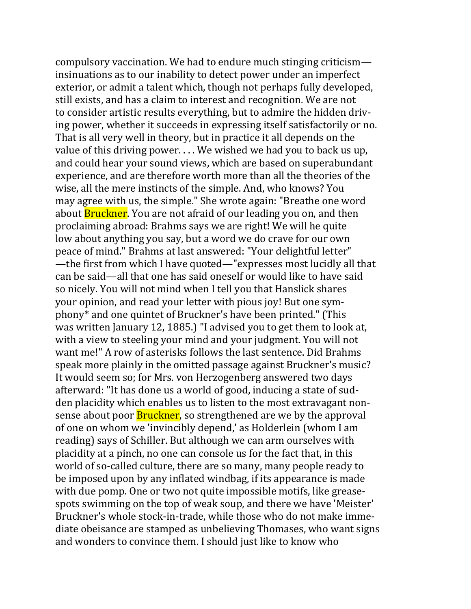compulsory vaccination. We had to endure much stinging criticism insinuations as to our inability to detect power under an imperfect exterior, or admit a talent which, though not perhaps fully developed, still exists, and has a claim to interest and recognition. We are not to consider artistic results everything, but to admire the hidden driving power, whether it succeeds in expressing itself satisfactorily or no. That is all very well in theory, but in practice it all depends on the value of this driving power. . . . We wished we had you to back us up, and could hear your sound views, which are based on superabundant experience, and are therefore worth more than all the theories of the wise, all the mere instincts of the simple. And, who knows? You may agree with us, the simple." She wrote again: "Breathe one word about **Bruckner**. You are not afraid of our leading you on, and then proclaiming abroad: Brahms says we are right! We will he quite low about anything you say, but a word we do crave for our own peace of mind." Brahms at last answered: "Your delightful letter" —the first from which I have quoted—"expresses most lucidly all that can be said—all that one has said oneself or would like to have said so nicely. You will not mind when I tell you that Hanslick shares your opinion, and read your letter with pious joy! But one symphony\* and one quintet of Bruckner's have been printed." (This was written January 12, 1885.) "I advised you to get them to look at, with a view to steeling your mind and your judgment. You will not want me!" A row of asterisks follows the last sentence. Did Brahms speak more plainly in the omitted passage against Bruckner's music? It would seem so; for Mrs. von Herzogenberg answered two days afterward: "It has done us a world of good, inducing a state of sudden placidity which enables us to listen to the most extravagant nonsense about poor **Bruckner**, so strengthened are we by the approval of one on whom we 'invincibly depend,' as Holderlein (whom I am reading) says of Schiller. But although we can arm ourselves with placidity at a pinch, no one can console us for the fact that, in this world of so-called culture, there are so many, many people ready to be imposed upon by any inflated windbag, if its appearance is made with due pomp. One or two not quite impossible motifs, like greasespots swimming on the top of weak soup, and there we have 'Meister' Bruckner's whole stock-in-trade, while those who do not make immediate obeisance are stamped as unbelieving Thomases, who want signs and wonders to convince them. I should just like to know who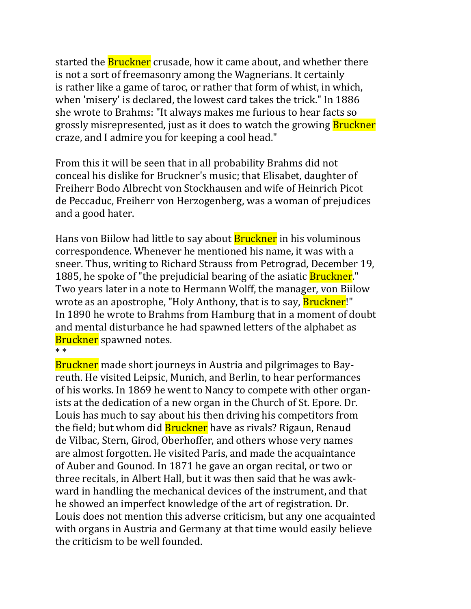started the **Bruckner** crusade, how it came about, and whether there is not a sort of freemasonry among the Wagnerians. It certainly is rather like a game of taroc, or rather that form of whist, in which, when 'misery' is declared, the lowest card takes the trick." In 1886 she wrote to Brahms: "It always makes me furious to hear facts so grossly misrepresented, just as it does to watch the growing **Bruckner** craze, and I admire you for keeping a cool head."

From this it will be seen that in all probability Brahms did not conceal his dislike for Bruckner's music; that Elisabet, daughter of Freiherr Bodo Albrecht von Stockhausen and wife of Heinrich Picot de Peccaduc, Freiherr von Herzogenberg, was a woman of prejudices and a good hater.

Hans von Biilow had little to say about **Bruckner** in his voluminous correspondence. Whenever he mentioned his name, it was with a sneer. Thus, writing to Richard Strauss from Petrograd, December 19, 1885, he spoke of "the prejudicial bearing of the asiatic **Bruckner**." Two years later in a note to Hermann Wolff, the manager, von Biilow wrote as an apostrophe, "Holy Anthony, that is to say, **Bruckner!"** In 1890 he wrote to Brahms from Hamburg that in a moment of doubt and mental disturbance he had spawned letters of the alphabet as **Bruckner** spawned notes.

\* \*

Bruckner made short journeys in Austria and pilgrimages to Bayreuth. He visited Leipsic, Munich, and Berlin, to hear performances of his works. In 1869 he went to Nancy to compete with other organists at the dedication of a new organ in the Church of St. Epore. Dr. Louis has much to say about his then driving his competitors from the field; but whom did **Bruckner** have as rivals? Rigaun, Renaud de Vilbac, Stern, Girod, Oberhoffer, and others whose very names are almost forgotten. He visited Paris, and made the acquaintance of Auber and Gounod. In 1871 he gave an organ recital, or two or three recitals, in Albert Hall, but it was then said that he was awkward in handling the mechanical devices of the instrument, and that he showed an imperfect knowledge of the art of registration. Dr. Louis does not mention this adverse criticism, but any one acquainted with organs in Austria and Germany at that time would easily believe the criticism to be well founded.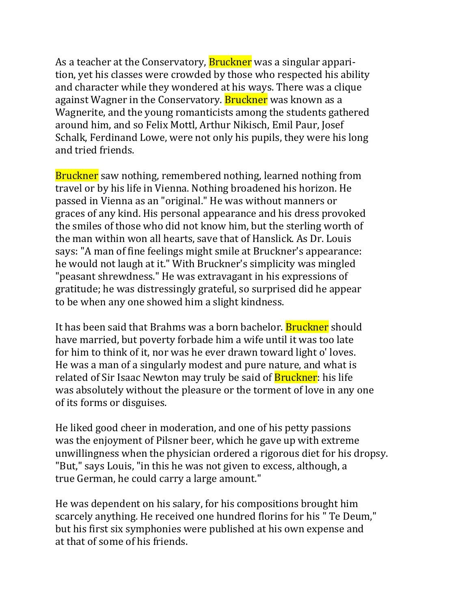As a teacher at the Conservatory, **Bruckner** was a singular apparition, yet his classes were crowded by those who respected his ability and character while they wondered at his ways. There was a clique against Wagner in the Conservatory. **Bruckner** was known as a Wagnerite, and the young romanticists among the students gathered around him, and so Felix Mottl, Arthur Nikisch, Emil Paur, Josef Schalk, Ferdinand Lowe, were not only his pupils, they were his long and tried friends.

**Bruckner** saw nothing, remembered nothing, learned nothing from travel or by his life in Vienna. Nothing broadened his horizon. He passed in Vienna as an "original." He was without manners or graces of any kind. His personal appearance and his dress provoked the smiles of those who did not know him, but the sterling worth of the man within won all hearts, save that of Hanslick. As Dr. Louis says: "A man of fine feelings might smile at Bruckner's appearance: he would not laugh at it." With Bruckner's simplicity was mingled "peasant shrewdness." He was extravagant in his expressions of gratitude; he was distressingly grateful, so surprised did he appear to be when any one showed him a slight kindness.

It has been said that Brahms was a born bachelor. **Bruckner** should have married, but poverty forbade him a wife until it was too late for him to think of it, nor was he ever drawn toward light o' loves. He was a man of a singularly modest and pure nature, and what is related of Sir Isaac Newton may truly be said of **Bruckner**: his life was absolutely without the pleasure or the torment of love in any one of its forms or disguises.

He liked good cheer in moderation, and one of his petty passions was the enjoyment of Pilsner beer, which he gave up with extreme unwillingness when the physician ordered a rigorous diet for his dropsy. "But," says Louis, "in this he was not given to excess, although, a true German, he could carry a large amount."

He was dependent on his salary, for his compositions brought him scarcely anything. He received one hundred florins for his " Te Deum," but his first six symphonies were published at his own expense and at that of some of his friends.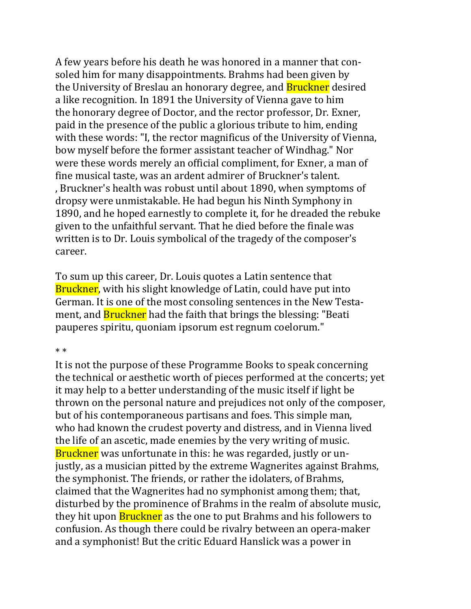A few years before his death he was honored in a manner that consoled him for many disappointments. Brahms had been given by the University of Breslau an honorary degree, and **Bruckner** desired a like recognition. In 1891 the University of Vienna gave to him the honorary degree of Doctor, and the rector professor, Dr. Exner, paid in the presence of the public a glorious tribute to him, ending with these words: "I, the rector magnificus of the University of Vienna, bow myself before the former assistant teacher of Windhag." Nor were these words merely an official compliment, for Exner, a man of fine musical taste, was an ardent admirer of Bruckner's talent. , Bruckner's health was robust until about 1890, when symptoms of dropsy were unmistakable. He had begun his Ninth Symphony in 1890, and he hoped earnestly to complete it, for he dreaded the rebuke given to the unfaithful servant. That he died before the finale was written is to Dr. Louis symbolical of the tragedy of the composer's career.

To sum up this career, Dr. Louis quotes a Latin sentence that Bruckner, with his slight knowledge of Latin, could have put into German. It is one of the most consoling sentences in the New Testament, and **Bruckner** had the faith that brings the blessing: "Beati pauperes spiritu, quoniam ipsorum est regnum coelorum."

#### \* \*

It is not the purpose of these Programme Books to speak concerning the technical or aesthetic worth of pieces performed at the concerts; yet it may help to a better understanding of the music itself if light be thrown on the personal nature and prejudices not only of the composer, but of his contemporaneous partisans and foes. This simple man, who had known the crudest poverty and distress, and in Vienna lived the life of an ascetic, made enemies by the very writing of music. Bruckner was unfortunate in this: he was regarded, justly or unjustly, as a musician pitted by the extreme Wagnerites against Brahms, the symphonist. The friends, or rather the idolaters, of Brahms, claimed that the Wagnerites had no symphonist among them; that, disturbed by the prominence of Brahms in the realm of absolute music, they hit upon **Bruckner** as the one to put Brahms and his followers to confusion. As though there could be rivalry between an opera-maker and a symphonist! But the critic Eduard Hanslick was a power in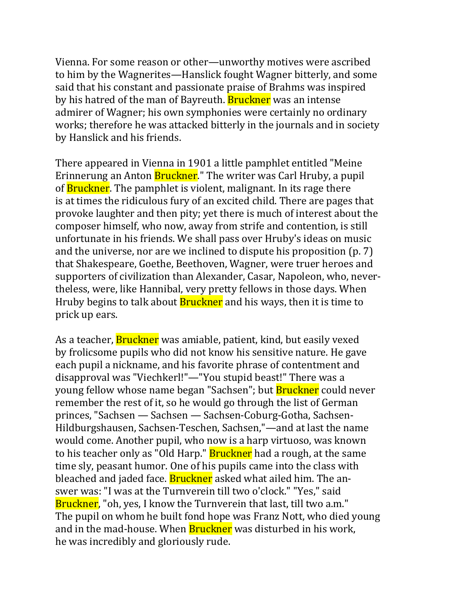Vienna. For some reason or other—unworthy motives were ascribed to him by the Wagnerites—Hanslick fought Wagner bitterly, and some said that his constant and passionate praise of Brahms was inspired by his hatred of the man of Bayreuth. **Bruckner** was an intense admirer of Wagner; his own symphonies were certainly no ordinary works; therefore he was attacked bitterly in the journals and in society by Hanslick and his friends.

There appeared in Vienna in 1901 a little pamphlet entitled "Meine Erinnerung an Anton Bruckner." The writer was Carl Hruby, a pupil of **Bruckner**. The pamphlet is violent, malignant. In its rage there is at times the ridiculous fury of an excited child. There are pages that provoke laughter and then pity; yet there is much of interest about the composer himself, who now, away from strife and contention, is still unfortunate in his friends. We shall pass over Hruby's ideas on music and the universe, nor are we inclined to dispute his proposition (p. 7) that Shakespeare, Goethe, Beethoven, Wagner, were truer heroes and supporters of civilization than Alexander, Casar, Napoleon, who, nevertheless, were, like Hannibal, very pretty fellows in those days. When Hruby begins to talk about **Bruckner** and his ways, then it is time to prick up ears.

As a teacher, **Bruckner** was amiable, patient, kind, but easily vexed by frolicsome pupils who did not know his sensitive nature. He gave each pupil a nickname, and his favorite phrase of contentment and disapproval was "Viechkerl!"—"You stupid beast!" There was a young fellow whose name began "Sachsen"; but Bruckner could never remember the rest of it, so he would go through the list of German princes, "Sachsen — Sachsen — Sachsen-Coburg-Gotha, Sachsen-Hildburgshausen, Sachsen-Teschen, Sachsen,"—and at last the name would come. Another pupil, who now is a harp virtuoso, was known to his teacher only as "Old Harp." **Bruckner** had a rough, at the same time sly, peasant humor. One of his pupils came into the class with bleached and jaded face. **Bruckner** asked what ailed him. The answer was: "I was at the Turnverein till two o'clock." "Yes," said Bruckner, "oh, yes, I know the Turnverein that last, till two a.m." The pupil on whom he built fond hope was Franz Nott, who died young and in the mad-house. When **Bruckner** was disturbed in his work, he was incredibly and gloriously rude.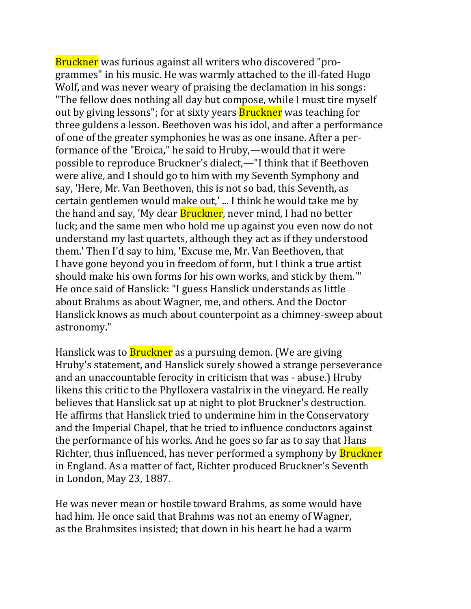Bruckner was furious against all writers who discovered "programmes" in his music. He was warmly attached to the ill-fated Hugo Wolf, and was never weary of praising the declamation in his songs: "The fellow does nothing all day but compose, while I must tire myself out by giving lessons"; for at sixty years **Bruckner** was teaching for three guldens a lesson. Beethoven was his idol, and after a performance of one of the greater symphonies he was as one insane. After a performance of the "Eroica," he said to Hruby,—would that it were possible to reproduce Bruckner's dialect,—"I think that if Beethoven were alive, and I should go to him with my Seventh Symphony and say, 'Here, Mr. Van Beethoven, this is not so bad, this Seventh, as certain gentlemen would make out,' ... I think he would take me by the hand and say, 'My dear **Bruckner**, never mind, I had no better luck; and the same men who hold me up against you even now do not understand my last quartets, although they act as if they understood them.' Then I'd say to him, 'Excuse me, Mr. Van Beethoven, that I have gone beyond you in freedom of form, but I think a true artist should make his own forms for his own works, and stick by them.'" He once said of Hanslick: "I guess Hanslick understands as little about Brahms as about Wagner, me, and others. And the Doctor Hanslick knows as much about counterpoint as a chimney-sweep about astronomy."

Hanslick was to **Bruckner** as a pursuing demon. (We are giving Hruby's statement, and Hanslick surely showed a strange perseverance and an unaccountable ferocity in criticism that was - abuse.) Hruby likens this critic to the Phylloxera vastalrix in the vineyard. He really believes that Hanslick sat up at night to plot Bruckner's destruction. He affirms that Hanslick tried to undermine him in the Conservatory and the Imperial Chapel, that he tried to influence conductors against the performance of his works. And he goes so far as to say that Hans Richter, thus influenced, has never performed a symphony by **Bruckner** in England. As a matter of fact, Richter produced Bruckner's Seventh in London, May 23, 1887.

He was never mean or hostile toward Brahms, as some would have had him. He once said that Brahms was not an enemy of Wagner, as the Brahmsites insisted; that down in his heart he had a warm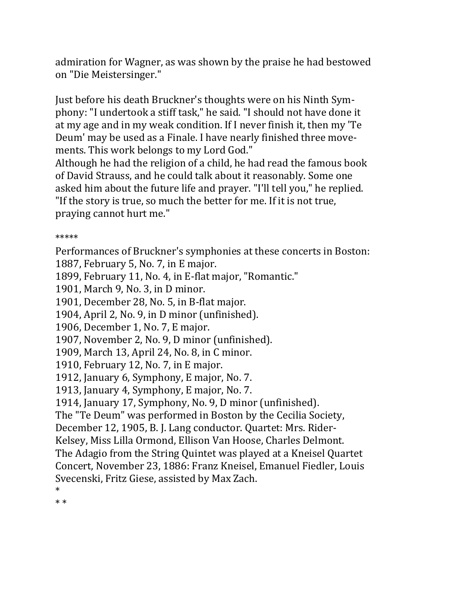admiration for Wagner, as was shown by the praise he had bestowed on "Die Meistersinger."

Just before his death Bruckner's thoughts were on his Ninth Symphony: "I undertook a stiff task," he said. "I should not have done it at my age and in my weak condition. If I never finish it, then my 'Te Deum' may be used as a Finale. I have nearly finished three movements. This work belongs to my Lord God."

Although he had the religion of a child, he had read the famous book of David Strauss, and he could talk about it reasonably. Some one asked him about the future life and prayer. "I'll tell you," he replied. "If the story is true, so much the better for me. If it is not true, praying cannot hurt me."

# \*\*\*\*\*

Performances of Bruckner's symphonies at these concerts in Boston:

1887, February 5, No. 7, in E major.

1899, February 11, No. 4, in E-flat major, "Romantic."

1901, March 9, No. 3, in D minor.

1901, December 28, No. 5, in B-flat major.

1904, April 2, No. 9, in D minor (unfinished).

1906, December 1, No. 7, E major.

1907, November 2, No. 9, D minor (unfinished).

1909, March 13, April 24, No. 8, in C minor.

1910, February 12, No. 7, in E major.

1912, January 6, Symphony, E major, No. 7.

1913, January 4, Symphony, E major, No. 7.

1914, January 17, Symphony, No. 9, D minor (unfinished).

The "Te Deum" was performed in Boston by the Cecilia Society,

December 12, 1905, B. J. Lang conductor. Quartet: Mrs. Rider-

Kelsey, Miss Lilla Ormond, Ellison Van Hoose, Charles Delmont.

The Adagio from the String Quintet was played at a Kneisel Quartet

Concert, November 23, 1886: Franz Kneisel, Emanuel Fiedler, Louis Svecenski, Fritz Giese, assisted by Max Zach.

\* \* \*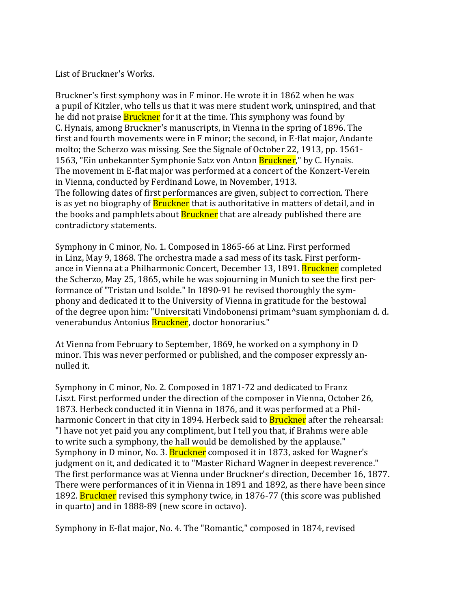List of Bruckner's Works.

Bruckner's first symphony was in F minor. He wrote it in 1862 when he was a pupil of Kitzler, who tells us that it was mere student work, uninspired, and that he did not praise **Bruckner** for it at the time. This symphony was found by C. Hynais, among Bruckner's manuscripts, in Vienna in the spring of 1896. The first and fourth movements were in F minor; the second, in E-flat major, Andante molto; the Scherzo was missing. See the Signale of October 22, 1913, pp. 1561- 1563, "Ein unbekannter Symphonie Satz von Anton Bruckner," by C. Hynais. The movement in E-flat major was performed at a concert of the Konzert-Verein in Vienna, conducted by Ferdinand Lowe, in November, 1913. The following dates of first performances are given, subject to correction. There is as yet no biography of **Bruckner** that is authoritative in matters of detail, and in the books and pamphlets about **Bruckner** that are already published there are contradictory statements.

Symphony in C minor, No. 1. Composed in 1865-66 at Linz. First performed in Linz, May 9, 1868. The orchestra made a sad mess of its task. First performance in Vienna at a Philharmonic Concert, December 13, 1891. **Bruckner** completed the Scherzo, May 25, 1865, while he was sojourning in Munich to see the first performance of "Tristan und Isolde." In 1890-91 he revised thoroughly the symphony and dedicated it to the University of Vienna in gratitude for the bestowal of the degree upon him: "Universitati Vindobonensi primam^suam symphoniam d. d. venerabundus Antonius Bruckner, doctor honorarius."

At Vienna from February to September, 1869, he worked on a symphony in D minor. This was never performed or published, and the composer expressly annulled it.

Symphony in C minor, No. 2. Composed in 1871-72 and dedicated to Franz Liszt. First performed under the direction of the composer in Vienna, October 26, 1873. Herbeck conducted it in Vienna in 1876, and it was performed at a Philharmonic Concert in that city in 1894. Herbeck said to **Bruckner** after the rehearsal: "I have not yet paid you any compliment, but I tell you that, if Brahms were able to write such a symphony, the hall would be demolished by the applause." Symphony in D minor, No. 3. **Bruckner** composed it in 1873, asked for Wagner's judgment on it, and dedicated it to "Master Richard Wagner in deepest reverence." The first performance was at Vienna under Bruckner's direction, December 16, 1877. There were performances of it in Vienna in 1891 and 1892, as there have been since 1892. **Bruckner** revised this symphony twice, in 1876-77 (this score was published in quarto) and in 1888-89 (new score in octavo).

Symphony in E-flat major, No. 4. The "Romantic," composed in 1874, revised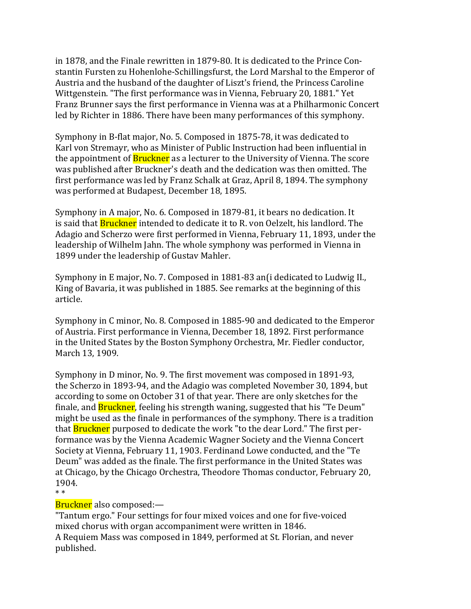in 1878, and the Finale rewritten in 1879-80. It is dedicated to the Prince Constantin Fursten zu Hohenlohe-Schillingsfurst, the Lord Marshal to the Emperor of Austria and the husband of the daughter of Liszt's friend, the Princess Caroline Wittgenstein. "The first performance was in Vienna, February 20, 1881." Yet Franz Brunner says the first performance in Vienna was at a Philharmonic Concert led by Richter in 1886. There have been many performances of this symphony.

Symphony in B-flat major, No. 5. Composed in 1875-78, it was dedicated to Karl von Stremayr, who as Minister of Public Instruction had been influential in the appointment of **Bruckner** as a lecturer to the University of Vienna. The score was published after Bruckner's death and the dedication was then omitted. The first performance was led by Franz Schalk at Graz, April 8, 1894. The symphony was performed at Budapest, December 18, 1895.

Symphony in A major, No. 6. Composed in 1879-81, it bears no dedication. It is said that **Bruckner** intended to dedicate it to R. von Oelzelt, his landlord. The Adagio and Scherzo were first performed in Vienna, February 11, 1893, under the leadership of Wilhelm Jahn. The whole symphony was performed in Vienna in 1899 under the leadership of Gustav Mahler.

Symphony in E major, No. 7. Composed in 1881-83 an(i dedicated to Ludwig II., King of Bavaria, it was published in 1885. See remarks at the beginning of this article.

Symphony in C minor, No. 8. Composed in 1885-90 and dedicated to the Emperor of Austria. First performance in Vienna, December 18, 1892. First performance in the United States by the Boston Symphony Orchestra, Mr. Fiedler conductor, March 13, 1909.

Symphony in D minor, No. 9. The first movement was composed in 1891-93, the Scherzo in 1893-94, and the Adagio was completed November 30, 1894, but according to some on October 31 of that year. There are only sketches for the finale, and Bruckner, feeling his strength waning, suggested that his "Te Deum" might be used as the finale in performances of the symphony. There is a tradition that **Bruckner** purposed to dedicate the work "to the dear Lord." The first performance was by the Vienna Academic Wagner Society and the Vienna Concert Society at Vienna, February 11, 1903. Ferdinand Lowe conducted, and the "Te Deum" was added as the finale. The first performance in the United States was at Chicago, by the Chicago Orchestra, Theodore Thomas conductor, February 20, 1904. \* \*

## Bruckner also composed:—

"Tantum ergo." Four settings for four mixed voices and one for five-voiced mixed chorus with organ accompaniment were written in 1846. A Requiem Mass was composed in 1849, performed at St. Florian, and never published.